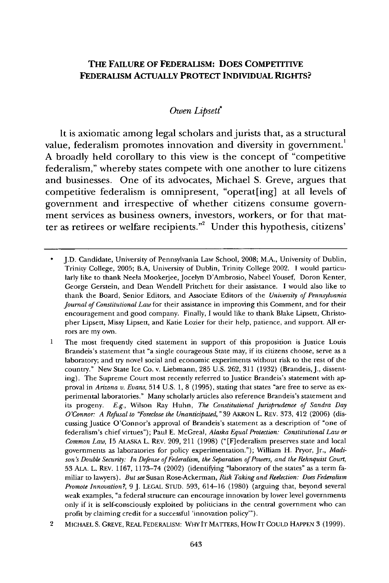## **THE FAILURE OF FEDERALISM: DOES COMPETITIVE FEDERALISM ACTUALLY PROTECT INDIVIDUAL RIGHTS?**

### *Owen Lipsett*

It is axiomatic among legal scholars and jurists that, as a structural value, federalism promotes innovation and diversity in government.<sup>1</sup> **A** broadly held corollary to this view is the concept of "competitive federalism," whereby states compete with one another to lure citizens and businesses. One of its advocates, Michael **S.** Greve, argues that competitive federalism is omnipresent, "operat[ing] at all levels of government and irrespective of whether citizens consume government services as business owners, investors, workers, or for that matter as retirees or welfare recipients."' Under this hypothesis, citizens'

2 MICHAEL **S.** GREVE, REAL FEDERALISM: WHY IT MATTERS, HOW IT COULD HAPPEN 3 (1999).

<sup>\*</sup> J.D. Candidate, University of Pennsylvania Law School, 2008; M.A., University of Dublin, Trinity College, 2005; B.A, University of Dublin, Trinity College 2002. I would particularly like to thank Neela Mookerjee, Jocelyn D'Ambrosio, Nabeel Yousef, Doron Kenter, George Gerstein, and Dean Wendell Pritchett for their assistance. I would also like to thank the Board, Senior Editors, and Associate Editors of the *University of Pennsylvania Journal of Constitutional Law* for their assistance in improving this Comment, and for their encouragement and good company. Finally, I would like to thank Blake Lipsett, Christopher Lipsett, Missy Lipsett, and Katie Lozier for their help, patience, and support. All errors are my own.

<sup>1</sup> The most frequently cited statement in support of this proposition is Justice Louis Brandeis's statement that "a single courageous State may, if its citizens choose, serve as a laboratory; and try novel social and economic experiments without risk to the rest of the country." New State Ice Co. v. Liebmann, 285 U.S. 262, 311 (1932) (Brandeis, J., dissenting). The Supreme Court most recently referred to Justice Brandeis's statement with approval in *Arizona v. Evans,* 514 U.S. 1, 8 (1995), stating that states "are free to serve as experimental laboratories." Many scholarly articles also reference Brandeis's statement and its progeny. *E.g.,* Wilson Ray Huhn, *The Constitutional Jurisprudence of Sandra Day O'Connor: A Refusal to "Foreclose the Unanticipated,"* 39 AKRON L. REV. 373, 412 (2006) (discussing Justice O'Connor's approval of Brandeis's statement as a description of "one of federalism's chief virtues"); Paul E. McGreal, *Alaska Equal Protection: Constitutional Law or Common Law,* 15 ALASKA L. REV. 209, 211 (1998) ("[F]ederalism preserves state and local governments as laboratories for policy experimentation."); William H. Pryor, Jr., *Madison's Double Security: In Defense of Federalism, the Separation of Powers, and the Rehnquist Court,* 53 **ALA.** L. REV. 1167, 1173-74 (2002) (identifying "laboratory of the states" as a term familiar to lawyers). *But see* Susan Rose-Ackerman, *Risk Taking and Reelection: Does Federalism Promote Innovation?,* 9 J. LEGAL STUD. 593, 614-16 (1980) (arguing that, beyond several weak examples, "a federal structure can encourage innovation by lower level governments only if it is self-consciously exploited by politicians in the central government who can profit by claiming credit for a successful 'innovation policy'").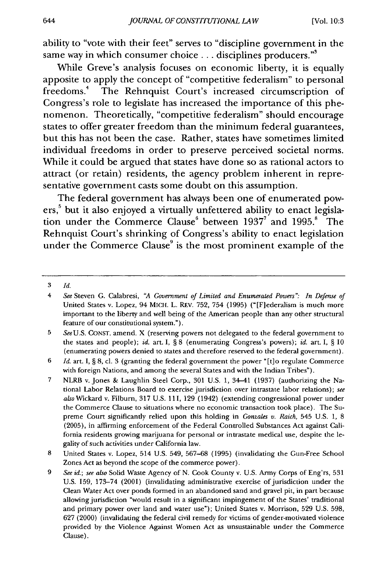ability to "vote with their feet" serves to "discipline government in the same way in which consumer choice **...** disciplines producers."'

While Greve's analysis focuses on economic liberty, it is equally apposite to apply the concept of "competitive federalism" to personal freedoms.4 The Rehnquist Court's increased circumscription of Congress's role to legislate has increased the importance of this phenomenon. Theoretically, "competitive federalism" should encourage states to offer greater freedom than the minimum federal guarantees, but this has not been the case. Rather, states have sometimes limited individual freedoms in order to preserve perceived societal norms. While it could be argued that states have done so as rational actors to attract (or retain) residents, the agency problem inherent in representative government casts some doubt on this assumption.

The federal government has always been one of enumerated powers,<sup>5</sup> but it also enjoyed a virtually unfettered ability to enact legislation under the Commerce Clause<sup>6</sup> between 1937<sup>7</sup> and 1995.<sup>8</sup> The Rehnquist Court's shrinking of Congress's ability to enact legislation under the Commerce Clause<sup>9</sup> is the most prominent example of the

<sup>3</sup> *Id.*

<sup>4</sup> *See* Steven G. Calabresi, *"A Government of Limited and Enumerated Powers". In Defense of* United States v. Lopez, 94 MICH. L. REV. 752, 754 (1995) ("[Flederalism is much more important to the liberty and well being of the American people than any other structural feature of our constitutional system.").

<sup>5</sup> *See* U.S. CONST. amend. X (reserving powers not delegated to the federal government to the states and people); *id.* art. I, § 8 (enumerating Congress's powers); *id.* art. I, § 10 (enumerating powers denied to states and therefore reserved to the federal government).

<sup>6</sup> *Id.* art. I, § 8, cl. 3 (granting the federal government the power "[t]o regulate Commerce with foreign Nations, and among the several States and with the Indian Tribes").

<sup>7</sup> NLRB v. Jones & Laughlin Steel Corp., 301 U.S. 1, 34-41 (1937) (authorizing the National Labor Relations Board to exercise jurisdiction over intrastate labor relations); *see* also Wickard v. Filburn, 317 U.S. 111, 129 (1942) (extending congressional power under the Commerce Clause to situations where no economic transaction took place). The Supreme Court significantly relied upon this holding in *Gonzales v. Raich,* 545 U.S. 1, 8 (2005), in affirming enforcement of the Federal Controlled Substances Act against California residents growing marijuana for personal or intrastate medical use, despite the legality of such activities under California law.

<sup>8</sup> United States v. Lopez, 514 U.S. 549, 567-68 (1995) (invalidating the Gun-Free School Zones Act as beyond the scope of the commerce power).

<sup>9</sup> *See id.; see also* Solid Waste Agency of N. Cook County v. U.S. Army Corps of Eng'rs, 531 U.S. 159, 173-74 (2001) (invalidating administrative exercise of jurisdiction under the Clean Water Act over ponds formed in an abandoned sand and gravel pit, in part because allowing jurisdiction "would result in a significant impingement of the States' traditional and primary power over land and water use"); United States v. Morrison, 529 U.S. 598, 627 (2000) (invalidating the federal civil remedy for victims of gender-motivated violence provided by the Violence Against Women Act as unsustainable under the Commerce Clause).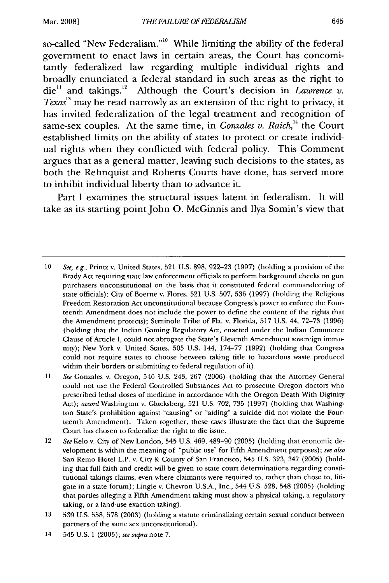so-called "New Federalism.""' While limiting the ability of the federal government to enact laws in certain areas, the Court has concomitantly federalized law regarding multiple individual rights and broadly enunciated a federal standard in such areas as the right to die<sup>11</sup> and takings.<sup>12</sup> Although the Court's decision in *Lawrence v*. *Texas*<sup>13</sup> may be read narrowly as an extension of the right to privacy, it has invited federalization of the legal treatment and recognition of same-sex couples. At the same time, in *Gonzales v. Raich*,<sup>14</sup> the Court established limits on the ability of states to protect or create individual rights when they conflicted with federal policy. This Comment argues that as a general matter, leaving such decisions to the states, as both the Rehnquist and Roberts Courts have done, has served more to inhibit individual liberty than to advance it.

Part I examines the structural issues latent in federalism. It will take as its starting point John O. McGinnis and Ilya Somin's view that

<sup>10</sup> See, e.g., Printz v. United States, 521 U.S. 898, 922-23 (1997) (holding a provision of the Brady Act requiring state law enforcement officials to perform background checks on gun purchasers unconstitutional on the basis that it constituted federal commandeering of state officials); City of Boerne v. Flores, 521 U.S. 507, 536 (1997) (holding the Religious Freedom Restoration Act unconstitutional because Congress's power to enforce the Fourteenth Amendment does not include the power to define the content of the rights that the Amendment protects); Seminole Tribe of Fla. v. Florida, 517 U.S. 44, 72-73 (1996) (holding that the Indian Gaming Regulatory Act, enacted under the Indian Commerce Clause of Article I, could not abrogate the State's Eleventh Amendment sovereign immunity); New York v. United States, 505 U.S. 144, 174-77 (1992) (holding that Congress could not require states to choose between taking title to hazardous waste produced within their borders or submitting to federal regulation of it).

*<sup>11</sup> See* Gonzales v. Oregon, 546 U.S. 243, 267 (2006) (holding that the Attorney General could not use the Federal Controlled Substances Act to prosecute Oregon doctors who prescribed lethal doses of medicine in accordance with the Oregon Death With Diginity Act); *accord* Washington v. Glucksberg, 521 U.S. 702, 735 (1997) (holding that Washington State's prohibition against "causing" or "aiding" a suicide did not violate the Fourteenth Amendment). Taken together, these cases illustrate the fact that the Supreme Court has chosen to federalize the right to die issue.

<sup>12</sup> *See* Kelo v. City of New London, 545 U.S. 469, 489-90 (2005) (holding that economic development is within the meaning of "public use" for Fifth Amendment purposes); *see also* San Remo Hotel L.P. v. City & County of San Francisco, 545 U.S. 323, 347 (2005) (holding that full faith and credit will be given to state court determinations regarding constitutional takings claims, even where claimants were required to, rather than chose to, litigate in a state forum); Lingle v. Chevron U.S.A., Inc., 544 U.S. 528, 548 (2005) (holding that parties alleging a Fifth Amendment taking must show a physical taking, a regulatory taking, or a land-use exaction taking).

<sup>13 539</sup> U.S. 558, 578 (2003) (holding a statute criminalizing certain sexual conduct between partners of the same sex unconstitutional).

<sup>14 545</sup> U.S. 1 (2005); *see supra* note 7.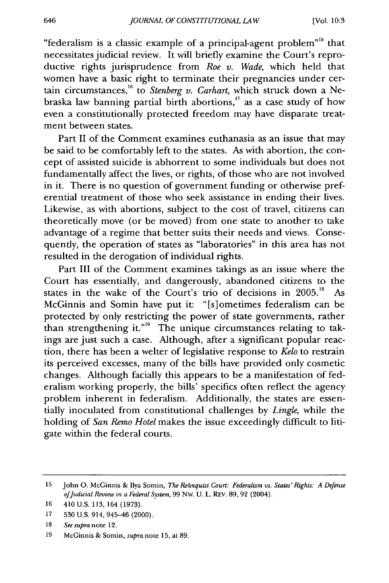"federalism is a classic example of a principal-agent problem"<sup>15</sup> that necessitates judicial review. It will briefly examine the Court's reproductive rights jurisprudence from *Roe v. Wade,* which held that women have a basic right to terminate their pregnancies under certain circumstances,<sup>16</sup> to *Stenberg v. Carhart*, which struck down a Nebraska law banning partial birth abortions,<sup>17</sup> as a case study of how even a constitutionally protected freedom may have disparate treatment between states.

Part II of the Comment examines euthanasia as an issue that may be said to be comfortably left to the states. As with abortion, the concept of assisted suicide is abhorrent to some individuals but does not fundamentally affect the lives, or rights, of those who are not involved in it. There is no question of government funding or otherwise preferential treatment of those who seek assistance in ending their lives. Likewise, as with abortions, subject to the cost of travel, citizens can theoretically move (or be moved) from one state to another to take advantage of a regime that better suits their needs and views. Consequently, the operation of states as "laboratories" in this area has not resulted in the derogation of individual rights.

Part III of the Comment examines takings as an issue where the Court has essentially, and dangerously, abandoned citizens to the states in the wake of the Court's trio of decisions in **2005.18** As McGinnis and Somin have put it: "[s]ometimes federalism can be protected by only restricting the power of state governments, rather than strengthening it."<sup>19</sup> The unique circumstances relating to takings are just such a case. Although, after a significant popular reaction, there has been a welter of legislative response to *Kelo* to restrain its perceived excesses, many of the bills have provided only cosmetic changes. Although facially this appears to be a manifestation of federalism working properly, the bills' specifics often reflect the agency problem inherent in federalism. Additionally, the states are essentially inoculated from constitutional challenges by *Lingle,* while the holding of *San Remo Hotel* makes the issue exceedingly difficult to litigate within the federal courts.

<sup>15</sup> John **0.** McGinnis & Ilya Somin, *The Rehnquist Court: Federalism vs. States'Rights: A Defense ofJudicial Review in a Federal System,* 99 Nw. U. L. REv. 89, 92 (2004).

<sup>16 410</sup> U.S. 113,164 (1973).

<sup>17 530</sup> U.S. 914, 945-46 (2000).

<sup>18</sup>*See supra* note 12.

<sup>19</sup> McGinnis & Somin, *supra* note 15, at 89.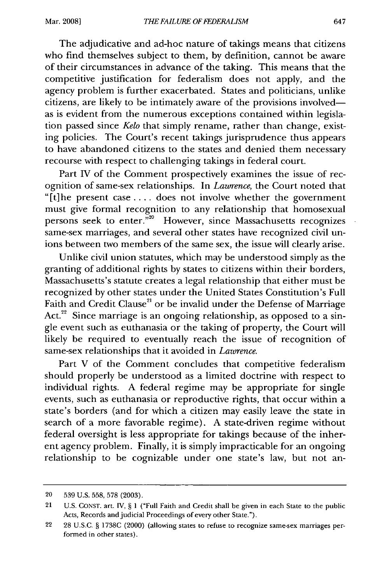The adjudicative and ad-hoc nature of takings means that citizens who find themselves subject to them, by definition, cannot be aware of their circumstances in advance of the taking. This means that the competitive justification for federalism does not apply, and the agency problem is further exacerbated. States and politicians, unlike citizens, are likely to be intimately aware of the provisions involvedas is evident from the numerous exceptions contained within legislation passed since *Kelo* that simply rename, rather than change, existing policies. The Court's recent takings jurisprudence thus appears to have abandoned citizens to the states and denied them necessary recourse with respect to challenging takings in federal court.

Part IV of the Comment prospectively examines the issue of recognition of same-sex relationships. In *Lawrence,* the Court noted that "[t]he present case .... does not involve whether the government must give formal recognition to any relationship that homosexual persons seek to enter.<sup>"20</sup> However, since Massachusetts recognizes same-sex marriages, and several other states have recognized civil unions between two members of the same sex, the issue will clearly arise.

Unlike civil union statutes, which may be understood simply as the granting of additional rights by states to citizens within their borders, Massachusetts's statute creates a legal relationship that either must be recognized by other states under the United States Constitution's Full Faith and Credit Clause<sup>21</sup> or be invalid under the Defense of Marriage Act.<sup>22</sup> Since marriage is an ongoing relationship, as opposed to a single event such as euthanasia or the taking of property, the Court will likely be required to eventually reach the issue of recognition of same-sex relationships that it avoided in *Lawrence.*

Part V of the Comment concludes that competitive federalism should properly be understood as a limited doctrine with respect to individual rights. A federal regime may be appropriate for single events, such as euthanasia or reproductive rights, that occur within a state's borders (and for which a citizen may easily leave the state in search of a more favorable regime). A state-driven regime without federal oversight is less appropriate for takings because of the inherent agency problem. Finally, it is simply impracticable for an ongoing relationship to be cognizable under one state's law, but not an-

<sup>20 539</sup> U.S. 558, 578 (2003).

<sup>21</sup> U.S. **CONST.** art. IV, § 1 ("Full Faith and Credit shall be given in each State to the public Acts, Records and judicial Proceedings of every other State.").

<sup>22 28</sup> U.S.C. § 1738C (2000) (allowing states to refuse to recognize same-sex marriages performed in other states).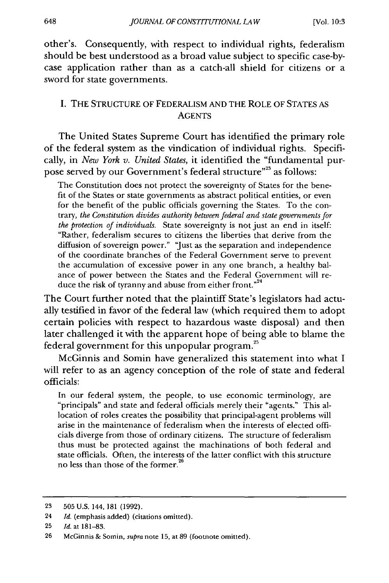648

other's. Consequently, with respect to individual rights, federalism should be best understood as a broad value subject to specific case-bycase application rather than as a catch-all shield for citizens or a sword for state governments.

#### I. THE STRUCTURE OF FEDERALISM AND THE ROLE OF STATES AS **AGENTS**

The United States Supreme Court has identified the primary role of the federal system as the vindication of individual rights. Specifically, in *New York v. United States,* it identified the "fundamental purpose served by our Government's federal structure" $^{23}$  as follows:

The Constitution does not protect the sovereignty of States for the benefit of the States or state governments as abstract political entities, or even for the benefit of the public officials governing the States. To the contrary, *the Constitution divides authority between federal and state governments for the protection of individuals.* State sovereignty is not just an end in itself: "Rather, federalism secures to citizens the liberties that derive from the diffusion of sovereign power." 'Just as the separation and independence of the coordinate branches of the Federal Government serve to prevent the accumulation of excessive power in any one branch, a healthy balance of power between the States and the Federal Government will reduce the risk of tyranny and abuse from either front."<sup>24</sup>

The Court further noted that the plaintiff State's legislators had actually testified in favor of the federal law (which required them to adopt certain policies with respect to hazardous waste disposal) and then later challenged it with the apparent hope of being able to blame the federal government for this unpopular program.<sup>25</sup>

McGinnis and Somin have generalized this statement into what I will refer to as an agency conception of the role of state and federal officials:

In our federal system, the people, to use economic terminology, are "principals" and state and federal officials merely their "agents." This allocation of roles creates the possibility that principal-agent problems will arise in the maintenance of federalism when the interests of elected officials diverge from those of ordinary citizens. The structure of federalism thus must be protected against the machinations of both federal and state officials. Often, the interests of the latter conflict with this structure no less than those of the former. $\dot{ }$ 

<sup>23 505</sup> U.S. 144, 181 (1992).

<sup>24</sup> *Id.* (emphasis added) (citations omitted).

<sup>25</sup> *Id.* at 181-83.

<sup>26</sup> McGinnis & Somin, *supra* note 15, at 89 (footnote omitted).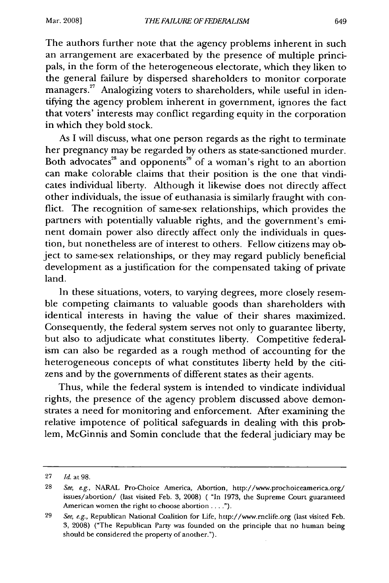#### Mar. **2008]**

The authors further note that the agency problems inherent in such an arrangement are exacerbated by the presence of multiple principals, in the form of the heterogeneous electorate, which they liken to the general failure by dispersed shareholders to monitor corporate  $\frac{1}{2}$  managers.<sup>27</sup> Analogizing voters to shareholders, while useful in identifying the agency problem inherent in government, ignores the fact that voters' interests may conflict regarding equity in the corporation in which they bold stock.

As I will discuss, what one person regards as the right to terminate her pregnancy may be regarded by others as state-sanctioned murder. Both advocates<sup>28</sup> and opponents<sup>29</sup> of a woman's right to an abortion can make colorable claims that their position is the one that vindicates individual liberty. Although it likewise does not directly affect other individuals, the issue of euthanasia is similarly fraught with conflict. The recognition of same-sex relationships, which provides the partners with potentially valuable rights, and the government's eminent domain power also directly affect only the individuals in question, but nonetheless are of interest to others. Fellow citizens may object to same-sex relationships, or they may regard publicly beneficial development as a justification for the compensated taking of private land.

In these situations, voters, to varying degrees, more closely resemble competing claimants to valuable goods than shareholders with identical interests in having the value of their shares maximized. Consequently, the federal system serves not only to guarantee liberty, but also to adjudicate what constitutes liberty. Competitive federalism can also be regarded as a rough method of accounting for the heterogeneous concepts of what constitutes liberty held by the citizens and by the governments of different states as their agents.

Thus, while the federal system is intended to vindicate individual rights, the presence of the agency problem discussed above demonstrates a need for monitoring and enforcement. After examining the relative impotence of political safeguards in dealing with this problem, McGinnis and Somin conclude that the federal judiciary may be

<sup>27</sup> *Id.* at 98.

<sup>28</sup> *See, e.g.,* NARAL Pro-Choice America, Abortion, http://www.prochoiceamerica.org/ issues/abortion/ (last visited Feb. 3, 2008) ( "In 1973, the Supreme Court guaranteed American women the right to choose abortion....").

<sup>29</sup>*See, e.g.,* Republican National Coalition for Life, http://www.rnclife.org (last visited Feb. 3, 2008) ("The Republican Party was founded on the principle that no human being should be considered the property of another.").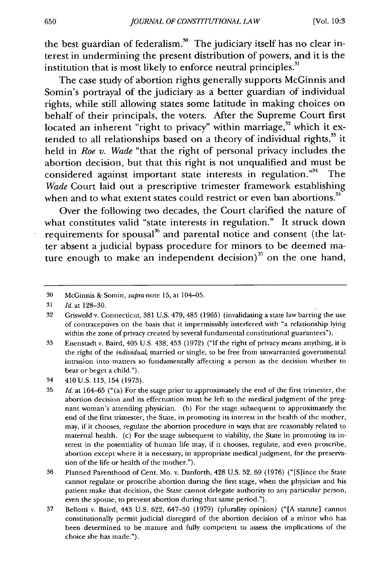the best guardian of federalism.<sup>30</sup> The judiciary itself has no clear interest in undermining the present distribution of powers, and it is the institution that is most likely to enforce neutral principles."

The case study of abortion rights generally supports McGinnis and Somin's portrayal of the judiciary as a better guardian of individual rights, while still allowing states some latitude in making choices on behalf of their principals, the voters. After the Supreme Court first located an inherent "right to privacy" within marriage,<sup>32</sup> which it extended to all relationships based on a theory of individual rights,<sup>33</sup> it held in *Roe v. Wade* "that the right of personal privacy includes the abortion decision, but that this right is not unqualified and must be considered against important state interests in regulation."<sup>34</sup> The *Wade* Court laid out a prescriptive trimester framework establishing when and to what extent states could restrict or even ban abortions.<sup>35</sup>

Over the following two decades, the Court clarified the nature of what constitutes valid "state interests in regulation." It struck down requirements for spousal<sup>36</sup> and parental notice and consent (the latter absent a judicial bypass procedure for minors to be deemed mature enough to make an independent decision) $^{37}$  on the one hand,

<sup>30</sup> McGinnis & Somin, *supra* note 15, at 104-05.

**<sup>31</sup>***Id.* at 128-30.

<sup>32</sup> Griswold v. Connecticut, 381 U.S. 479, 485 (1965) (invalidating a state law barring the use of contraceptives on the basis that it impermissibly interfered with "a relationship lying within the zone of privacy created by several fundamental constitutional guarantees").

<sup>33</sup> Eisenstadt v. Baird, 405 U.S. 438, 453 (1972) ("If the right of privacy means anything, it is the right of the *individual,* married or single, to be free from unwarranted governmental intrusion into matters so fundamentally affecting a person as the decision whether to bear or beget a child.").

<sup>34 410</sup> U.S. 113, 154 (1973).

<sup>35</sup> *Id.* at 164-65 ("(a) For the stage prior to approximately the end of the first trimester, the abortion decision and its effectuation must be left to the medical judgment of the pregnant woman's attending physician. (b) For the stage subsequent to approximately the end of the first trimester, the State, in promoting its interest in the health of the mother, may, if it chooses, regulate the abortion procedure in ways that are reasonably related to maternal health. (c) For the stage subsequent to viability, the State in promoting its interest in the potentiality of human life may, if it chooses, regulate, and even proscribe, abortion except where it is necessary, in appropriate medical judgment, for the preservation of the life or health of the mother.").

<sup>36</sup> Planned Parenthood of Cent. Mo. v. Danforth, 428 U.S. 52, 69 (1976) ("[S]ince the State cannot regulate or proscribe abortion during the first stage, when the physician and his patient make that decision, the State cannot delegate authority to any particular person, even the spouse, to prevent abortion during that same period.").

<sup>37</sup> Bellotti v. Baird, 443 U.S. 622, 647-50 (1979) (plurality opinion) ("[A statute] cannot constitutionally permit judicial disregard of the abortion decision of a minor who has been determined to be mature and fully competent to assess the implications of the choice she has made.").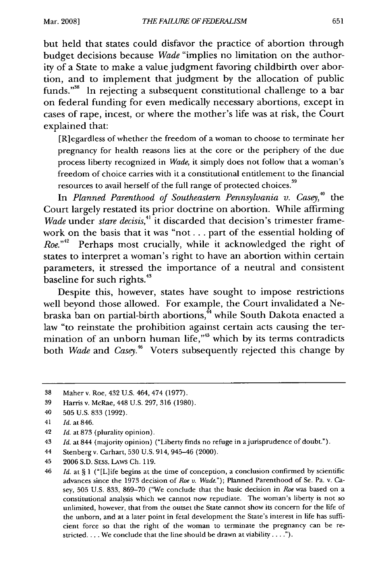but held that states could disfavor the practice of abortion through budget decisions because *Wade* "implies no limitation on the authority of a State to make a value judgment favoring childbirth over abortion, and to implement that judgment by the allocation of public funds."<sup>38</sup> In rejecting a subsequent constitutional challenge to a bar on federal funding for even medically necessary abortions, except in cases of rape, incest, or where the mother's life was at risk, the Court explained that:

[R]egardless of whether the freedom of a woman to choose to terminate her pregnancy for health reasons lies at the core or the periphery of the due process liberty recognized in *Wade,* it simply does not follow that a woman's freedom of choice carries with it a constitutional entitlement to the financial resources to avail herself of the full range of protected choices.<sup>39</sup>

In *Planned Parenthood of Southeastern Pennsylvania v.* Casey,*4°* the Court largely restated its prior doctrine on abortion. While affirming *Wade* under *stare decisis*,<sup>41</sup> it discarded that decision's trimester framework on the basis that it was "not... part of the essential holding of *Roe.*<sup>"2</sup> Perhaps most crucially, while it acknowledged the right of states to interpret a woman's right to have an abortion within certain parameters, it stressed the importance of a neutral and consistent baseline for such rights.<sup>43</sup>

Despite this, however, states have sought to impose restrictions well beyond those allowed. For example, the Court invalidated a Nebraska ban on partial-birth abortions, $\frac{4}{11}$  while South Dakota enacted a law "to reinstate the prohibition against certain acts causing the termination of an unborn human life,"<sup>45</sup> which by its terms contradicts both *Wade* and *Casey.46* Voters subsequently rejected this change by

42 *Id.* at 873 (plurality opinion).

44 Stenberg v. Carhart, 530 U.S. 914, 945-46 (2000).

<sup>38</sup> Maher v. Roe, 432 U.S. 464, 474 (1977).

<sup>39</sup> Harris v. McRae, 448 U.S. 297, 316 (1980).

<sup>40 505</sup> U.S. 833 (1992).

<sup>41</sup>*Id.* at 846.

<sup>43</sup> *Id.* at 844 (majority opinion) ("Liberty finds no refuge in ajurisprudence of doubt.").

<sup>45 2006</sup> S.D. SESS. LAws **Ch.** 119.

<sup>46</sup> *Id.* at § 1 ("[L]ife begins at the time of conception, a conclusion confirmed by scientific advances since the 1973 decision of *Roe v. Wade.");* Planned Parenthood of Se. Pa. v. Casey, 505 U.S. 833, 869-70 ("We conclude that the basic decision in *Roe* was based on a constitutional analysis which we cannot now repudiate. The woman's liberty is not so unlimited, however, that from the outset the State cannot show its concern for the life of the unborn, and at a later point in fetal development the State's interest in life has sufficient force so that the right of the woman to terminate the pregnancy can be restricted.... We conclude that the line should be drawn at viability.... **.").**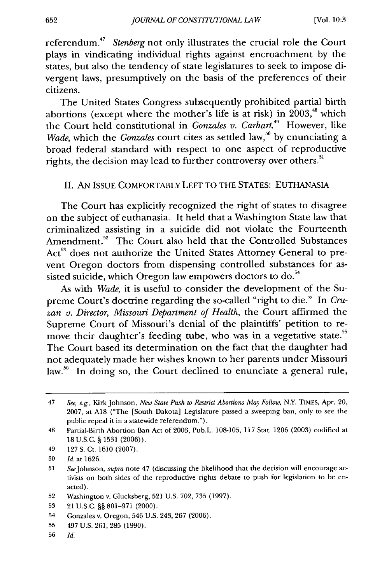referendum.<sup>47</sup> Stenberg not only illustrates the crucial role the Court plays in vindicating individual rights against encroachment by the states, but also the tendency of state legislatures to seek to impose divergent laws, presumptively on the basis of the preferences of their citizens.

The United States Congress subsequently prohibited partial birth abortions (except where the mother's life is at risk) in  $2003$ <sup>48</sup> which the Court held constitutional in *Gonzales v. Carhart.49* However, like Wade, which the *Gonzales* court cites as settled law,<sup>50</sup> by enunciating a broad federal standard with respect to one aspect of reproductive rights, the decision may lead to further controversy over others.<sup>51</sup>

#### II. AN ISSUE COMFORTABLY LEFT TO THE STATES: EUTHANASIA

The Court has explicitly recognized the right of states to disagree on the subject of euthanasia. It held that a Washington State law that criminalized assisting in a suicide did not violate the Fourteenth Amendment.<sup>52</sup> The Court also held that the Controlled Substances Act<sup>53</sup> does not authorize the United States Attorney General to prevent Oregon doctors from dispensing controlled substances for assisted suicide, which Oregon law empowers doctors to do.<sup>54</sup>

As with *Wade,* it is useful to consider the development of the Supreme Court's doctrine regarding the so-called "right to die." In *Cruzan v. Director, Missouri Department of Health,* the Court affirmed the Supreme Court of Missouri's denial of the plaintiffs' petition to remove their daughter's feeding tube, who was in a vegetative state.<sup>51</sup> The Court based its determination on the fact that the daughter had not adequately made her wishes known to her parents under Missouri law.<sup>56</sup> In doing so, the Court declined to enunciate a general rule,

<sup>47</sup> *See, e.g.,* Kirk Johnson, *New State Push to Restrict Abortions May Follow,* N.Y. TIMES, Apr. 20, 2007, at **A18** ("The [South Dakota] Legislature passed a sweeping ban, only to see the public repeal it in a statewide referendum.").

<sup>48</sup> Partial-Birth Abortion Ban Act of 2003, Pub.L. 108-105, 117 Stat. 1206 (2003) codified at 18 U.S.C. § 1531 (2006)).

<sup>49 127</sup> S. Ct. 1610 (2007).

<sup>50</sup> *Id.* at 1626.

<sup>51</sup> SeeJohnson, *supra* note 47 (discussing the likelihood that the decision will encourage activists on both sides of the reproductive rights debate to push for legislation to be enacted).

<sup>52</sup> Washington v. Glucksberg, 521 U.S. 702, 735 (1997).

<sup>53 21</sup> U.S.C. §§ 801-971 (2000).

<sup>54</sup> Gonzales v. Oregon, 546 U.S. 243, 267 (2006).

<sup>55 497</sup> U.S. 261, **285** (1990).

<sup>56</sup> *Id.*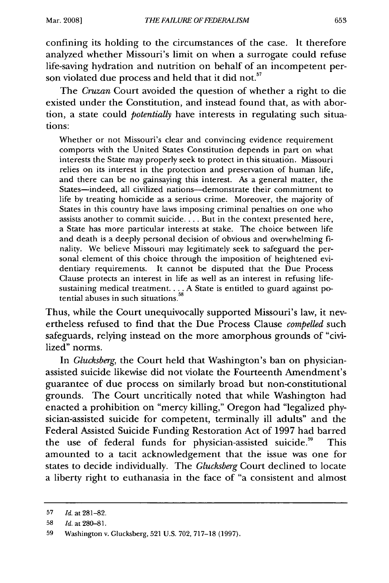confining its holding to the circumstances of the case. It therefore analyzed whether Missouri's limit on when a surrogate could refuse life-saving hydration and nutrition on behalf of an incompetent person violated due process and held that it did not.<sup>57</sup>

The *Cruzan* Court avoided the question of whether a right to die existed under the Constitution, and instead found that, as with abortion, a state could *potentially* have interests in regulating such situations:

Whether or not Missouri's clear and convincing evidence requirement comports with the United States Constitution depends in part on what interests the State may properly seek to protect in this situation. Missouri relies on its interest in the protection and preservation of human life, and there can be no gainsaying this interest. As a general matter, the States-indeed, all civilized nations-demonstrate their commitment to life by treating homicide as a serious crime. Moreover, the majority of States in this country have laws imposing criminal penalties on one who assists another to commit suicide.... But in the context presented here, a State has more particular interests at stake. The choice between life and death is a deeply personal decision of obvious and overwhelming finality. We believe Missouri may legitimately seek to safeguard the personal element of this choice through the imposition of heightened evidentiary requirements. It cannot be disputed that the Due Process Clause protects an interest in life as well as an interest in refusing lifesustaining medical treatment.... A State is entitled to guard against potential abuses in such situations. $^{58}$ 

Thus, while the Court unequivocally supported Missouri's law, it nevertheless refused to find that the Due Process Clause *compelled* such safeguards, relying instead on the more amorphous grounds of "civilized" norms.

In *Glucksberg,* the Court held that Washington's ban on physicianassisted suicide likewise did not violate the Fourteenth Amendment's guarantee of due process on similarly broad but non-constitutional grounds. The Court uncritically noted that while Washington had enacted a prohibition on "mercy killing," Oregon had "legalized physician-assisted suicide for competent, terminally ill adults" and the Federal Assisted Suicide Funding Restoration Act of 1997 had barred the use of federal funds for physician-assisted suicide.<sup>59</sup> This amounted to a tacit acknowledgement that the issue was one for states to decide individually. The *Glucksberg* Court declined to locate a liberty right to euthanasia in the face of "a consistent and almost

<sup>57</sup> *Id.* at 281-82.

<sup>58</sup> *Id.* at 280-81.

<sup>59</sup> Washington v. Glucksberg, 521 U.S. 702, 717-18 (1997).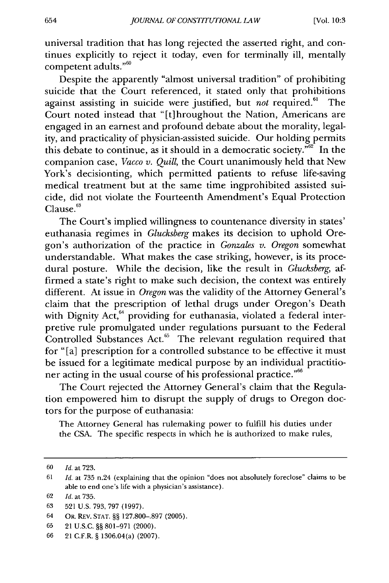universal tradition that has long rejected the asserted right, and continues explicitly to reject it today, even for terminally ill, mentally competent adults."<sup>60</sup>

Despite the apparently "almost universal tradition" of prohibiting suicide that the Court referenced, it stated only that prohibitions against assisting in suicide were justified, but *not* required.<sup>61</sup> The Court noted instead that "[t]hroughout the Nation, Americans are engaged in an earnest and profound debate about the morality, legality, and practicality of physician-assisted suicide. Our holding permits this debate to continue, as it should in a democratic society. $\overline{62}$  In the companion case, *Vacco v. Quill,* the Court unanimously held that New York's decisionting, which permitted patients to refuse life-saving medical treatment but at the same time ingprohibited assisted suicide, did not violate the Fourteenth Amendment's Equal Protection  $C$ lause. $63$ 

The Court's implied willingness to countenance diversity in states' euthanasia regimes in *Glucksberg* makes its decision to uphold Oregon's authorization of the practice in *Gonzales v. Oregon* somewhat understandable. What makes the case striking, however, is its procedural posture. While the decision, like the result in *Glucksberg, af*firmed a state's right to make such decision, the context was entirely different. At issue in *Oregon* was the validity of the Attorney General's claim that the prescription of lethal drugs under Oregon's Death with Dignity Act,<sup>64</sup> providing for euthanasia, violated a federal interpretive rule promulgated under regulations pursuant to the Federal Controlled Substances Act.<sup>65</sup> The relevant regulation required that for "[a] prescription for a controlled substance to be effective it must be issued for a legitimate medical purpose by an individual practitio ner acting in the usual course of his professional practice."<sup>66</sup>

The Court rejected the Attorney General's claim that the Regulation empowered him to disrupt the supply of drugs to Oregon doctors for the purpose of euthanasia:

The Attorney General has rulemaking power to fulfill his duties under the CSA. The specific respects in which he is authorized to make rules,

<sup>60</sup> *Id.* at 723.

<sup>61</sup>*Id.* at 735 n.24 (explaining that the opinion "does not absolutely foreclose" claims to be able to end one's life with a physician's assistance).

<sup>62</sup> *Id.* at 735.

<sup>63 521</sup> U.S. 793, 797 (1997).

<sup>64</sup> OR. REV. **STAT.** §§ 127.800-.897 (2005).

<sup>65 21</sup> U.S.C. §§ 801-971 (2000).

<sup>66 21</sup> C.F.R. § 1306.04(a) (2007).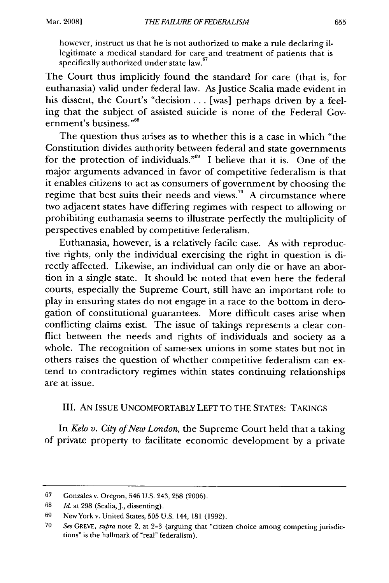however, instruct us that he is not authorized to make a rule declaring illegitimate a medical standard for care and treatment of patients that is specifically authorized under state law.<sup>67</sup>

The Court thus implicitly found the standard for care (that is, for euthanasia) valid under federal law. As Justice Scalia made evident in his dissent, the Court's "decision . . . [was] perhaps driven by a feeling that the subject of assisted suicide is none of the Federal Government's business."<sup>68</sup>

The question thus arises as to whether this is a case in which "the Constitution divides authority between federal and state governments for the protection of individuals."<sup>69</sup> I believe that it is. One of the major arguments advanced in favor of competitive federalism is that it enables citizens to act as consumers of government by choosing the regime that best suits their needs and views.<sup>70</sup> A circumstance where two adjacent states have differing regimes with respect to allowing or prohibiting euthanasia seems to illustrate perfectly the multiplicity of perspectives enabled by competitive federalism.

Euthanasia, however, is a relatively facile case. As with reproductive rights, only the individual exercising the right in question is directly affected. Likewise, an individual can only die or have an abortion in a single state. It should be noted that even here the federal courts, especially the Supreme Court, still have an important role to play in ensuring states do not engage in a race to the bottom in derogation of constitutional guarantees. More difficult cases arise when conflicting claims exist. The issue of takings represents a clear conflict between the needs and rights of individuals and society as a whole. The recognition of same-sex unions in some states but not in others raises the question of whether competitive federalism can extend to contradictory regimes within states continuing relationships are at issue.

### III. AN ISSUE UNCOMFORTABLY LEFT TO THE STATES: TAKINGS

In *Kelo v. City of New London,* the Supreme Court held that a taking of private property to facilitate economic development by a private

<sup>67</sup> Gonzales v. Oregon, 546 U.S. 243, 258 (2006).

<sup>68</sup> *Id.* at 298 (Scalia, J., dissenting).

<sup>69</sup> NewYork v. United States, 505 U.S. 144, 181 (1992).

<sup>70</sup> *See* GREVE, *supra* note 2, at 2-3 (arguing that "citizen choice among competing jurisdictions" is the hallmark of "real" federalism).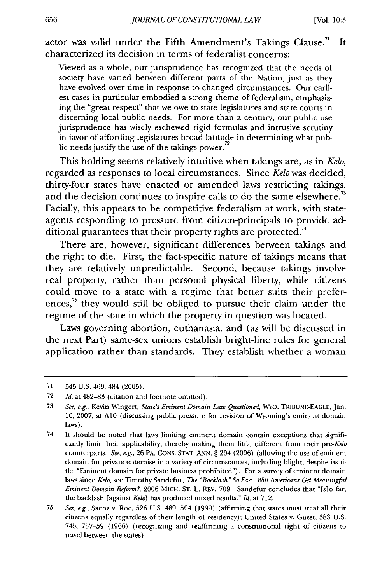actor was valid under the Fifth Amendment's Takings Clause.<sup>71</sup> ' It characterized its decision in terms of federalist concerns:

Viewed as a whole, our jurisprudence has recognized that the needs of society have varied between different parts of the Nation, just as they have evolved over time in response to changed circumstances. Our earliest cases in particular embodied a strong theme of federalism, emphasizing the "great respect" that we owe to state legislatures and state courts in discerning local public needs. For more than a century, our public use jurisprudence has wisely eschewed rigid formulas and intrusive scrutiny in favor of affording legislatures broad latitude in determining what pub-<br>lic needs justify the use of the takings power.<sup>72</sup>

This holding seems relatively intuitive when takings are, as in *Kelo,* regarded as responses to local circumstances. Since *Kelo* was decided, thirty-four states have enacted or amended laws restricting takings, and the decision continues to inspire calls to do the same elsewhere.<sup>73</sup> Facially, this appears to be competitive federalism at work, with stateagents responding to pressure from citizen-principals to provide additional guarantees that their property rights are protected.<sup>74</sup>

There are, however, significant differences between takings and the right to die. First, the fact-specific nature of takings means that they are relatively unpredictable. Second, because takings involve real property, rather than personal physical liberty, while citizens could move to a state with a regime that better suits their preferences,<sup>75</sup> they would still be obliged to pursue their claim under the regime of the state in which the property in question was located.

Laws governing abortion, euthanasia, and (as will be discussed in the next Part) same-sex unions establish bright-line rules for general application rather than standards. They establish whether a woman

<sup>71 545</sup> U.S. 469, 484 (2005).

<sup>72</sup> *Id.* at 482-83 (citation and footnote omitted).

<sup>73</sup> *See, e.g.,* Kevin Wingert, *State's Eminent Domain Law Questioned,* Wvo. TRIBUNE-EAGLE, Jan. 10, 2007, at **A1O** (discussing public pressure for revision of Wyoming's eminent domain laws).

<sup>74</sup> It should be noted that laws limiting eminent domain contain exceptions that significantly limit their applicability, thereby making them little different from their *pre-Kelo* counterparts. *See, e.g.,* 26 PA. CONS. STAT. ANN. § 204 (2006) (allowing the use of eminent domain for private enterpise in a variety of circumstances, including blight, despite its tide, "Eminent domain for private business prohibited"). For a survey of eminent domain laws since *Kelo,* see Timothy Sandefur, *The "Backlash" So Far: Will Americans Get Meaningful Eminent Domain Reform?,* 2006 MICH. ST. L. REv. 709. Sandefur concludes that "[s]o far, the backlash [against *Kelo]* has produced mixed results." *Id.* at 712.

<sup>75</sup> *See, e.g.,* Saenz v. Roe, 526 U.S. 489, 504 (1999) (affirming that states must treat all their citizens equally regardless of their length of residency); United States v. Guest, 383 U.S. 745, 757-59 (1966) (recognizing and reaffirming a constitutional right of citizens to travel between the states).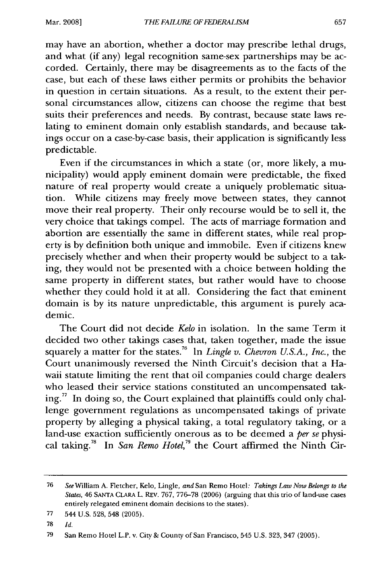may have an abortion, whether a doctor may prescribe lethal drugs, and what (if any) legal recognition same-sex partnerships may be accorded. Certainly, there may be disagreements as to the facts of the case, but each of these laws either permits or prohibits the behavior in question in certain situations. As a result, to the extent their personal circumstances allow, citizens can choose the regime that best suits their preferences and needs. By contrast, because state laws relating to eminent domain only establish standards, and because takings occur on a case-by-case basis, their application is significantly less predictable.

Even if the circumstances in which a state (or, more likely, a municipality) would apply eminent domain were predictable, the fixed nature of real property would create a uniquely problematic situation. While citizens may freely move between states, they cannot move their real property. Their only recourse would be to sell it, the very choice that takings compel. The acts of marriage formation and abortion are essentially the same in different states, while real property is by definition both unique and immobile. Even if citizens knew precisely whether and when their property would be subject to a taking, they would not be presented with a choice between holding the same property in different states, but rather would have to choose whether they could hold it at all. Considering the fact that eminent domain is by its nature unpredictable, this argument is purely academic.

The Court did not decide *Kelo* in isolation. In the same Term it decided two other takings cases that, taken together, made the issue squarely a matter for the states.<sup>76</sup> In *Lingle v. Chevron U.S.A., Inc.*, the Court unanimously reversed the Ninth Circuit's decision that a Hawaii statute limiting the rent that oil companies could charge dealers who leased their service stations constituted an uncompensated taking.<sup>77</sup> In doing so, the Court explained that plaintiffs could only challenge government regulations as uncompensated takings of private property by alleging a physical taking, a total regulatory taking, or a land-use exaction sufficiently onerous as to be deemed a *per se* physi- **<sup>781</sup>** cal taking. In *San Remo Hotel,79* the Court affirmed the Ninth Cir-

**78** *Id.*

<sup>76</sup> *See* William A. Fletcher, Kelo, Lingle, and San Remo Hotel: *Takings Law Now Belongs to the States,* 46 **SANTA** CLARA L. REv. 767, 776-78 (2006) (arguing that this trio of land-use cases entirely relegated eminent domain decisions to the states).

<sup>77 544</sup> U.S. 528, 548 (2005).

**<sup>79</sup>** San Remo Hotel L.P. v. City & County of San Francisco, 545 **U.S.** 323, 347 **(2005).**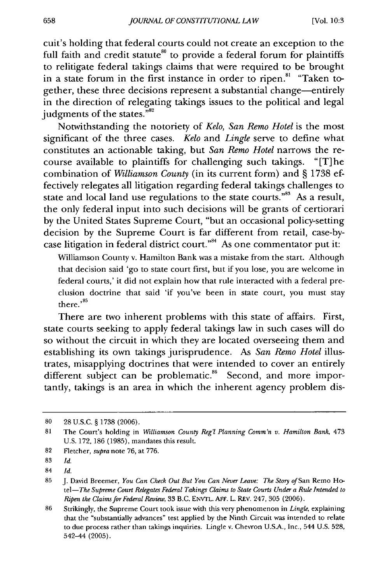cuit's holding that federal courts could not create an exception to the full faith and credit statute<sup>80</sup> to provide a federal forum for plaintiffs to relitigate federal takings claims that were required to be brought in a state forum in the first instance in order to ripen.<sup>81</sup> "Taken together, these three decisions represent a substantial change-entirely in the direction of relegating takings issues to the political and legal judgments of the states."<sup>82</sup>

Notwithstanding the notoriety of *Kelo, San Remo Hotel* is the most significant of the three cases. *Kelo* and *Lingle* serve to define what constitutes an actionable taking, but *San Remo Hotel* narrows the recourse available to plaintiffs for challenging such takings. " [T] he combination of *Williamson County* (in its current form) and § 1738 effectively relegates all litigation regarding federal takings challenges to state and local land use regulations to the state courts."<sup>83</sup> As a result, the only federal input into such decisions will be grants of certiorari by the United States Supreme Court, "but an occasional policy-setting decision by the Supreme Court is far different from retail, case-bycase litigation in federal district court."<sup>84</sup> As one commentator put it:

Williamson County v. Hamilton Bank was a mistake from the start. Although that decision said 'go to state court first, but if you lose, you are welcome in federal courts,' it did not explain how that rule interacted with a federal preclusion doctrine that said 'if you've been in state court, you must stay there. **<sup>85</sup>**

There are two inherent problems with this state of affairs. First, state courts seeking to apply federal takings law in such cases will do so without the circuit in which they are located overseeing them and establishing its own takings jurisprudence. As *San Remo Hotel* illustrates, misapplying doctrines that were intended to cover an entirely different subject can be problematic.<sup>86</sup> Second, and more importantly, takings is an area in which the inherent agency problem dis-

<sup>80 28</sup> U.S.C. § 1738 (2006).

<sup>81</sup> The Court's holding in *Williamson County* Reg'l *Planning Comm'n v. Hamilton Bank,* 473 U.S. 172, **186** (1985), mandates this result.

<sup>82</sup> Fletcher, supra note 76, at 776.

**<sup>83</sup>** *Id.*

<sup>84</sup> *Id.*

<sup>85</sup> J. David Breemer, *You Can Check Out But You Can Never Leave: The Story of* San Remo Ho*tel-The Supreme Court Relegates Federal Takings Claims to State Courts Under a Rule Intended to Ripen the Claims for Federal Review,* 33 B.C. ENVrL. ArE. L. REv. 247, 305 (2006).

<sup>86</sup> Strikingly, the Supreme Court took issue with this very phenomenon in *Lingle,* explaining that the "substantially advances" test applied by the Ninth Circuit was intended to relate to due process rather than takings inquiries. Lingle v. Chevron U.S.A., Inc., 544 U.S. 528, 542-44 (2005).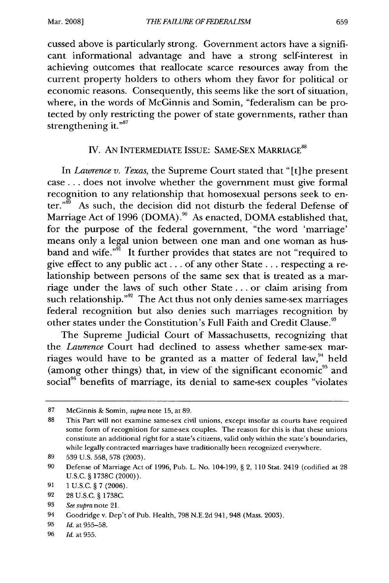Mar. **2008]**

cussed above is particularly strong. Government actors have a significant informational advantage and have a strong self-interest in achieving outcomes that reallocate scarce resources away from the current property holders to others whom they favor for political or economic reasons. Consequently, this seems like the sort of situation, where, in the words of McGinnis and Somin, "federalism can be protected by only restricting the power of state governments, rather than strengthening it." $87$ 

# IV. AN INTERMEDIATE ISSUE: SAME-SEX MARRIAGE<sup>88</sup>

In *Lawrence v. Texas,* the Supreme Court stated that "[t] he present case **...** does not involve whether the government must give formal recognition to any relationship that homosexual persons seek to enter."<sup>89</sup> As such, the decision did not disturb the federal Defense of Marriage Act of 1996 (DOMA). $^{90}$  As enacted, DOMA established that, for the purpose of the federal government, "the word 'marriage' means only a legal union between one man and one woman as husband and wife."<sup>91</sup> It further provides that states are not "required to give effect to any public act.., of any other State **...** respecting a relationship between persons of the same sex that is treated as a marriage under the laws of such other State ... or claim arising from such relationship."<sup>92</sup> The Act thus not only denies same-sex marriages federal recognition but also denies such marriages recognition by other states under the Constitution's Full Faith and Credit Clause.<sup>93</sup>

The Supreme Judicial Court of Massachusetts, recognizing that the *Lawrence* Court had declined to assess whether same-sex marriages would have to be granted as a matter of federal law, $94$  held (among other things) that, in view of the significant economic<sup>95</sup> and social<sup>96</sup> benefits of marriage, its denial to same-sex couples "violates

<sup>87</sup> McGinnis & Somin, *supra* note 15, at 89.

<sup>88</sup> This Part will not examine same-sex civil unions, except insofar as courts have required some form of recognition for same-sex couples. The reason for this is that these unions constitute an additional right for a state's citizens, valid only within the state's boundaries, while legally contracted marriages have traditionally been recognized everywhere.

<sup>89 539</sup> U.S. 558, 578 (2003).

<sup>90</sup> Defense of Marriage Act of 1996, Pub. L. No. 104-199, § 2, 110 Stat. 2419 (codified at 28 U.S.C. § 1738C (2000)).

<sup>91</sup> **1 U.S.C.** § 7 (2006).

<sup>92 28</sup> U.S.C. § 1738C.

<sup>93</sup> *See supra* note 21.

<sup>94</sup> Goodridge v. Dep't of Pub. Health, 798 N.E.2d 941,948 (Mass. 2003).

<sup>95</sup> *Id.* at 955-58.

<sup>96</sup> *Id.* at 955.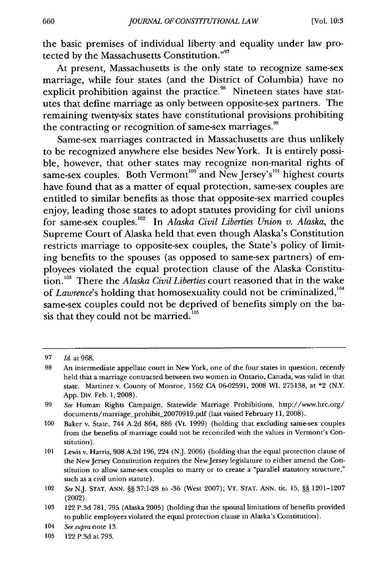the basic premises of individual liberty and equality under law protected by the Massachusetts Constitution."<sup>97</sup>

At present, Massachusetts is the only state to recognize same-sex marriage, while four states (and the District of Columbia) have no explicit prohibition against the practice.<sup>98</sup> Nineteen states have statutes that define marriage as only between opposite-sex partners. The remaining twenty-six states have constitutional provisions prohibiting the contracting or recognition of same-sex marriages."

Same-sex marriages contracted in Massachusetts are thus unlikely to be recognized anywhere else besides New York. It is entirely possible, however, that other states may recognize non-marital rights of same-sex couples. Both Vermont<sup>100</sup> and New Jersey's<sup>101</sup> highest courts have found that as a matter of equal protection, same-sex couples are entitled to similar benefits as those that opposite-sex married couples enjoy, leading those states to adopt statutes providing for civil unions for same-sex couples.<sup>102</sup> In *Alaska Civil Liberties Union v. Alaska*, the Supreme Court of Alaska held that even though Alaska's Constitution restricts marriage to opposite-sex couples, the State's policy of limiting benefits to the spouses (as opposed to same-sex partners) of employees violated the equal protection clause of the Alaska Constitution. 103 There the *Alaska Civil Liberties* court reasoned that in the wake of *Lawrence*'s holding that homosexuality could not be criminalized,<sup>104</sup> same-sex couples could not be deprived of benefits simply on the basis that they could not be married. $^{105}$ 

<sup>97</sup> *Id.* at 968.

<sup>98</sup> An intermediate appellate court in New York, one of the four states in question, recently held that a marriage contracted between two women in Ontario, Canada, was valid in that state. Martinez v. County of Monroe, 1562 CA 06-02591, 2008 WL 275138, at \*2 (N.Y. App. Div. Feb. 1, 2008).

<sup>99</sup> *See* Human Rights Campaign, Statewide Marriage Prohibitions, http://www.hrc.org/ documents/marriage-prohibit\_20070919.pdf (last visited February 11, 2008).

<sup>100</sup> Baker v. State, 744 A.2d 864, 886 (Vt. 1999) (holding that excluding same-sex couples from the benefits of marriage could not be reconciled with the values in Vermont's Constitution).

<sup>101</sup> Lewis v. Harris, 908 A.2d 196, 224 (NJ. 2006) (holding that the equal protection clause of the NewJersey Constitution requires the NewJersey legislature to either amend the Constitution to allow same-sex couples to marry or to create a "parallel statutory structure," such as a civil union statute).

<sup>102</sup> *See* N.J. STAT. ANN. §§ 37:1-28 to -36 (West 2007); VT. STAT. ANN. tit. 15, §§ 1201-1207 (2002).

**<sup>103</sup>** 122 P.3d 781, 795 (Alaska 2005) (holding that the spousal limitations of benefits provided to public employees violated the equal protection clause in Alaska's Constitution).

<sup>104</sup> *See* supra note 13.

<sup>105 122</sup> P.3d at 793.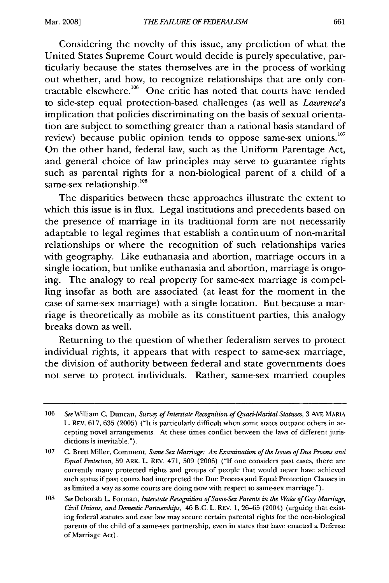Considering the novelty of this issue, any prediction of what the United States Supreme Court would decide is purely speculative, particularly because the states themselves are in the process of working out whether, and how, to recognize relationships that are only contractable elsewhere.<sup>106</sup> One critic has noted that courts have tended to side-step equal protection-based challenges (as well as *Lawrence's* implication that policies discriminating on the basis of sexual orientation are subject to something greater than a rational basis standard of review) because public opinion tends to oppose same-sex unions.<sup>107</sup> On the other hand, federal law, such as the Uniform Parentage Act, and general choice of law principles may serve to guarantee rights such as parental rights for a non-biological parent of a child of a same-sex relationship.<sup>108</sup>

The disparities between these approaches illustrate the extent to which this issue is in flux. Legal institutions and precedents based on the presence of marriage in its traditional form are not necessarily adaptable to legal regimes that establish a continuum of non-marital relationships or where the recognition of such relationships varies with geography. Like euthanasia and abortion, marriage occurs in a single location, but unlike euthanasia and abortion, marriage is ongoing. The analogy to real property for same-sex marriage is compelling insofar as both are associated (at least for the moment in the case of same-sex marriage) with a single location. But because a marriage is theoretically as mobile as its constituent parties, this analogy breaks down as well.

Returning to the question of whether federalism serves to protect individual rights, it appears that with respect to same-sex marriage, the division of authority between federal and state governments does not serve to protect individuals. Rather, same-sex married couples

<sup>106</sup> *See* William C. Duncan, *Survey of Interstate Recognition of Quasi-Marital Statuses,* 3 **AVE** MARIA L. REv. 617, 635 (2005) ("It is particularly difficult when some states outpace others in accepting novel arrangements. At these times conflict between the laws of different jurisdictions is inevitable.").

<sup>107</sup> C. Brett Miller, Comment, *Same Sex Marriage: An Examination of the Issues of Due Process and Equal Protection,* 59 ARK. L. REV. 471, 509 (2006) ("If one considers past cases, there are currently many protected rights and groups of people that would never have achieved such status if past courts had interpreted the Due Process and Equal Protection Clauses in as limited a way as some courts are doing now with respect to same-sex marriage.").

<sup>108</sup> *See* Deborah L. Forman, *Interstate Recognition of Same-Sex Parents in the Wake of Gay Marriage, Civil Unions, and Domestic Partnerships,* 46 B.C. L. REv. 1, 26-65 (2004) (arguing that existing federal statutes and case law may secure certain parental rights for the non-biological parents of the child of a same-sex partnership, even in states that have enacted a Defense of Marriage Act).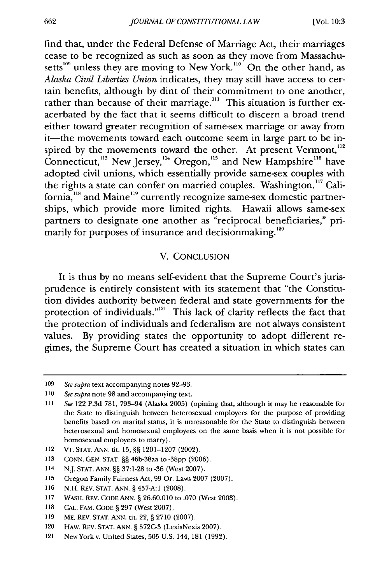find that, under the Federal Defense of Marriage Act, their marriages cease to be recognized as such as soon as they move from Massachusetts<sup>109</sup> unless they are moving to New York.<sup>110</sup> On the other hand, as *Alaska Civil Liberties Union* indicates, they may still have access to certain benefits, although by dint of their commitment to one another, rather than because of their marriage.<sup>111</sup> This situation is further exacerbated by the fact that it seems difficult to discern a broad trend either toward greater recognition of same-sex marriage or away from it—the movements toward each outcome seem in large part to be inspired by the movements toward the other. At present Vermont,<sup>112</sup> Connecticut,<sup>113</sup> New Jersey,<sup>114</sup> Oregon,<sup>115</sup> and New Hampshire<sup>116</sup> have adopted civil unions, which essentially provide same-sex couples with the rights a state can confer on married couples. Washington,<sup>117</sup> California,<sup>118</sup> and Maine<sup>119</sup> currently recognize same-sex domestic partnerships, which provide more limited rights. Hawaii allows same-sex partners to designate one another as "reciprocal beneficiaries," primarily for purposes of insurance and decisionmaking.<sup>120</sup>

#### V. CONCLUSION

It is thus by no means self-evident that the Supreme Court's jurisprudence is entirely consistent with its statement that "the Constitution divides authority between federal and state governments for the protection of individuals."<sup>121</sup> This lack of clarity reflects the fact that the protection of individuals and federalism are not always consistent values. By providing states the opportunity to adopt different regimes, the Supreme Court has created a situation in which states can

<sup>109</sup> *See supra* text accompanying notes 92-93.

<sup>110</sup> *See supra* note 98 and accompanying text.

<sup>111</sup>*See* 122 P.3d 781, 793-94 (Alaska 2005) (opining that, although it may be reasonable for the State to distinguish between heterosexual employees for the purpose of providing benefits based on marital status, it is unreasonable for the State to distinguish between heterosexual and homosexual employees on the same basis when it is not possible for homosexual employees to marry).

<sup>112</sup> VT. STAT. ANN. tit. 15, §§ 1201-1207 (2002).

<sup>113</sup> CONN. GEN. STAT. §§ 46b-38aa to -38pp (2006).

<sup>114</sup> N.J. STAT. ANN. §§ 37:1-28 to -36 (West 2007).

<sup>115</sup> Oregon Family Fairness Act, 99 Or. Laws 2007 (2007).

<sup>116</sup> N.H. REV. STAT. ANN. § 457-A:1 (2008).

<sup>117</sup> WASH. REV. CODE ANN. § 26.60.010 to .070 (West 2008).

<sup>118</sup> CAL. FAM. CODE § 297 (West 2007).

<sup>119</sup> ME. REV. STAT. ANN. tit. 22, § 2710 (2007).

<sup>120</sup> HAw. REv. STAT. **ANN.** § 572C-3 (LexisNexis 2007).

<sup>121</sup> NewYork v. United States, 505 U.S. 144, 181 (1992).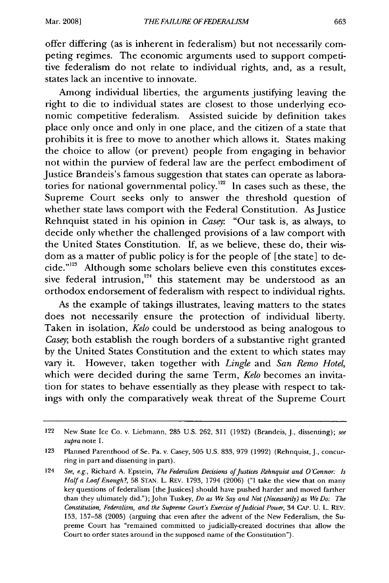offer differing (as is inherent in federalism) but not necessarily competing regimes. The economic arguments used to support competitive federalism do not relate to individual rights, and, as a result, states lack an incentive to innovate.

Among individual liberties, the arguments justifying leaving the right to die to individual states are closest to those underlying economic competitive federalism. Assisted suicide by definition takes place only once and only in one place, and the citizen of a state that prohibits it is free to move to another which allows it. States making the choice to allow (or prevent) people from engaging in behavior not within the purview of federal law are the perfect embodiment of Justice Brandeis's famous suggestion that states can operate as laboratories for national governmental policy.<sup>122</sup> In cases such as these, the Supreme Court seeks only to answer the threshold question of whether state laws comport with the Federal Constitution. As Justice Rehnquist stated in his opinion in *Casey:* "Our task is, as always, to decide only whether the challenged provisions of a law comport with the United States Constitution. If, as we believe, these do, their wisdom as a matter of public policy is for the people of [the state] to decide." $23$  Although some scholars believe even this constitutes excessive federal intrusion, $124$  this statement may be understood as an orthodox endorsement of federalism with respect to individual rights.

As the example of takings illustrates, leaving matters to the states does not necessarily ensure the protection of individual liberty. Taken in isolation, *Kelo* could be understood as being analogous to *Casey;* both establish the rough borders of a substantive right granted by the United States Constitution and the extent to which states may vary it. However, taken together with *Lingle* and *San Remo Hotel,* which were decided during the same Term, *Kelo* becomes an invitation for states to behave essentially as they please with respect to takings with only the comparatively weak threat of the Supreme Court

<sup>122</sup> New State Ice Co. v. Liebmann, 285 U.S. 262, 311 (1932) (Brandeis, J., dissenting); see supra note **1.**

<sup>123</sup> Planned Parenthood of Se. Pa. v. Casey, 505 U.S. 833, 979 (1992) (Rehnquist, J., concurring in part and dissenting in part).

<sup>124</sup> *See, e.g.,* Richard A. Epstein, *The Federalism Decisions of Justices Rehnquist and O'Connor: Is Halfa Loaf Enough?,* 58 STAN. L. REV. 1793, 1794 (2006) ("I take the view that on many key questions of federalism [the Justices] should have pushed harder and moved farther than they ultimately did."); John Tuskey, *Do as We Say and Not (Necessarily) as We Do: The Constitution, Federalism, and the Supreme Court's Exercise of Judicial Power,* 34 **CAP. U.** L. REV. 153, 157-58 (2005) (arguing that even after the advent of the New Federalism, the Supreme Court has "remained committed to judicially-created doctrines that allow the Court to order states around in the supposed name of the Constitution").